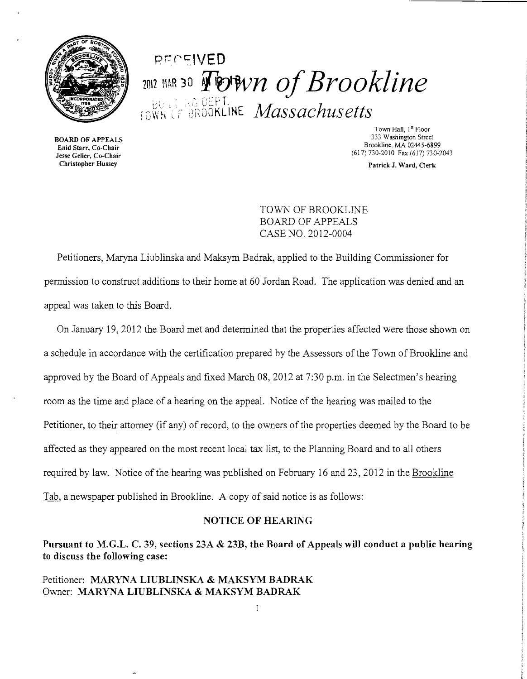

# Rr7 ec:tVED  $1011$  MAR 30  $\sqrt{\frac{1}{2}}$  **NOTA** $n$  *of Brookline* FOWN OF BROOKLINE *Massachusetts*

BOARD OF APPEALS Enid Starr, Co-Chair Jesse Geller, Co-Chair Christopher Hussey

Town Hall, 1st Floor 333 Washington Street Brookline, MA 02445-6899 (617) 730-2010 Fax (617) 730-2043

Patrick J. Ward, Clerk

TOWN OF BROOKLINE BOARD OF APPEALS CASE NO. 2012-0004

Petitioners, Maryna Liublinska and Maksym Badrak, applied to the Building Commissioner for permission to construct additions to their home at 60 Jordan Road. The application was denied and an appeal was taken to this Board.

On January 19,2012 the Board met and determined that the properties affected were those shown on a schedule in accordance with the certification prepared by the Assessors of the Town of Brookline and approved by the Board of Appeals and fixed March 08,2012 at 7:30 p.m. in the Selectmen's hearing room as the time and place of a hearing on the appeal. Notice of the hearing was mailed to the Petitioner, to their attorney (if any) of record, to the owners of the properties deemed by the Board to be affected as they appeared on the most recent local tax list, to the Planning Board and to all others required by law. Notice of the hearing was published on February 16 and 23, 2012 in the Brookline Tab, a newspaper published in Brookline. A copy of said notice is as follows:

#### NOTICE OF HEARING

Pursuant to M.G.L. C. 39, sections 23A & 23B, the Board of Appeals will conduct a public hearing to discuss the following case:

 $\mathbf{1}$ 

## Petitioner: MARYNA LIUBLINSKA & MAKSYM BADRAK Owner: MARYNA LIUBLINSKA & MAKSYM BADRAK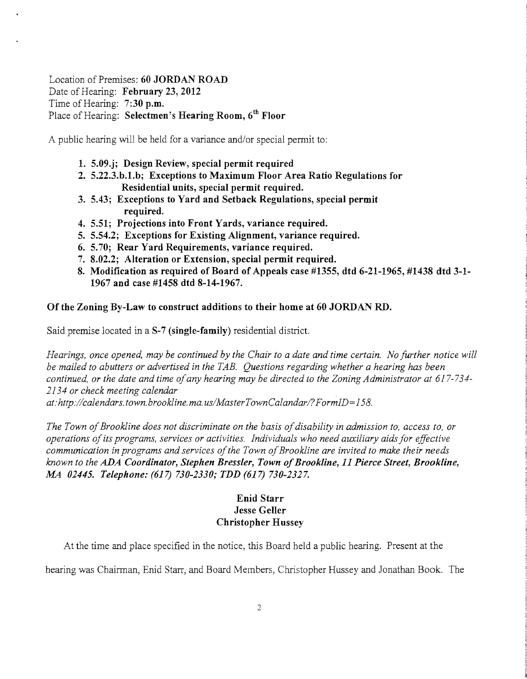Location of Premises: **60 JORDAN ROAD** Date of Hearing: **February 23, 2012** Time of Hearing: **7:30 p.m.**  Place of Hearing: **Selectmen's Hearing Room, 6th Floor** 

A public hearing will be held for a variance and/or special permit to:

- **1. 5.09.j; Design Review, special permit required**
- **2. 5.22.3.b.1.b; Exceptions to Maximum Floor Area Ratio Regulations for Residential units, special permit required.**
- **3. 5.43; Exceptions to Yard and Setback Regulations, special permit required.**
- **4. 5.51; Projections into Front Yards, variance required.**
- **5. 5.54.2; Exceptions for Existing Alignment, variance required.**
- **6. 5.70; Rear Yard Requirements, variance required.**
- **7. 8.02.2; Alteration or Extension, special permit required.**
- **8. Modification as required** of Board **of Appeals case #1355, dtd 6-21-1965, #1438 dtd 3-1 1967 and case #1458 dtd 8-14-1967.**

#### **Of the Zoning By-Law to construct additions to their home at 60 JORDAN RD.**

Said premise located in a **S-7 (single-family)** residential district.

*Hearings, once opened, may be continued by the Chair to a date and time certain. No further notice will be mailed to abutters or advertised in the TAB. Questions regarding whether a hearing has been continued, or the date and time ofany hearing may be directed to the Zoning Administrator at 617-734 2134 or check meeting calendar , at: http://calendars.town.brookline.ma.usIMasterTownCalandarl?FormID= 158,* 

The Town of Brookline does not discriminate on the basis of disability in admission to, access to, or *operations ofits programs, services or activities. Individuals who need auxiliary aids for effective communication in programs and services of the Town of Brookline are invited to make their needs known to the ADA Coordinator, Stephen Bressler, Town ofBrookline,* **11** *Pierce Street, Brookline, MA 02445. Telephone:* **(617)** *730-2330; TDD* **(617)** *730-2327.* 

# **Enid Starr Jesse Geller Christopher Hussey**

At the time and place specified in the notice, this Board held a public hearing. Present at the

hearing was Chairman, Enid Starr, and Board Members, Christopher Hussey and Jonathan Book. The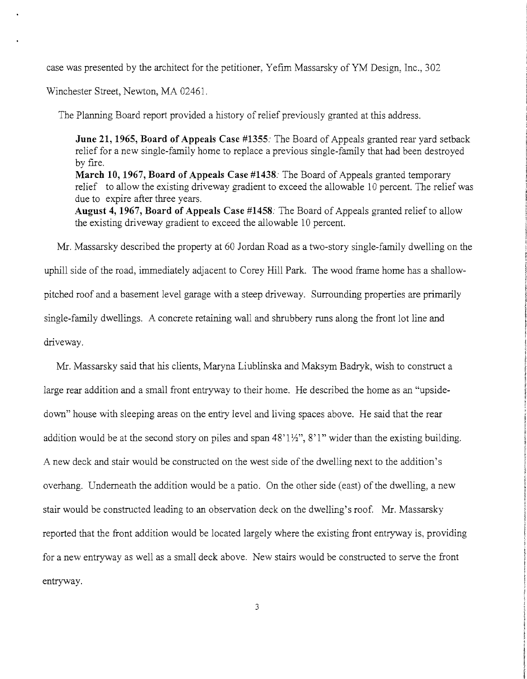case was presented by the architect for the petitioner, Yefim Massarsky of YM Design, Inc., 302

Winchester Street, Newton, MA 02461.

The Planning Board report provided a history of relief previously granted at this address.

**June 21, 1965, Board of Appeals Case** #1355: The Board of Appeals granted rear yard setback relief for a new single-family home to replace a previous single-family that had been destroyed by fire. **March 10, 1967, Board of Appeals Case #1438:** The Board of Appeals granted temporary relief to allow the existing driveway gradient to exceed the allowable 10 percent. The relief was due to expire after three years.

**August 4,1967, Board of Appeals Case #1458:** The Board of Appeals granted relief to allow the existing driveway gradient to exceed the allowable 10 percent.

Mr. Massarsky described the property at 60 Jordan Road as a two-story single-family dwelling on the uphill side of the road, immediately adjacent to Corey Hill Park. The wood frame home has a shallowpitched roof and a basement level garage with a steep driveway. Surrounding properties are primarily single-family dwellings. A concrete retaining wall and shrubbery runs along the front lot line and driveway.

Mr. Massarsky said that his clients, Maryna Liublinska and Maksym Badryk, wish to construct a large rear addition and a small front entryway to their home. He described the home as an "upsidedown" house with sleeping areas on the entry level and living spaces above. He said that the rear addition would be at the second story on piles and span 48' 1*Yz",* 8' 1" wider than the existing building. A new deck and stair would be constructed on the west side ofthe dwelling next to the addition's overhang. Underneath the addition would be a patio. On the other side (east) of the dwelling, a new stair would be constructed leading to an observation deck on the dwelling's roof. Mr. Massarsky reported that the front addition would be located largely where the existing front entryway is, providing for a new entryway as well as a small deck above. New stairs would be constructed to serve the front entryway.

3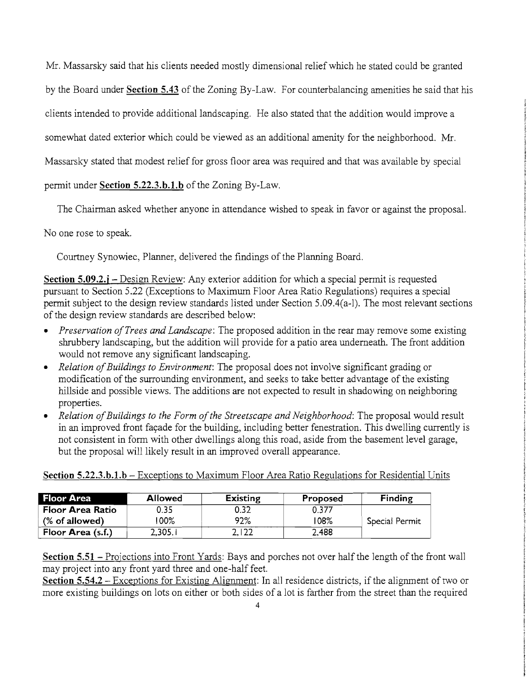Mr. Massarsky said that his clients needed mostly dimensional relief which he stated could be granted by the Board under **Section 5.43** of the Zoning By-Law. For counterbalancing amenities he said that his clients intended to provide additional landscaping. He also stated that the addition would improve a somewhat dated exterior which could be viewed as an additional amenity for the neighborhood. Mr. Massarsky stated that modest relief for gross floor area was required and that was available by special permit under **Section 5.22.3.b.1.b** of the Zoning By-Law.

The Chairman asked whether anyone in attendance wished to speak in favor or against the proposal.

No one rose to speak.

Courtney Synowiec, Planner, delivered the findings of the Planning Board.

**Section 5.09.2.;** - Design Review: Any exterior addition for which a special permit is requested pursuant to Section 5.22 (Exceptions to Maximum Floor Area Ratio Regulations) requires a special permit subject to the design review standards listed under Section 5.09.4(a-l). The most relevant sections of the design review standards are described below:

- *Preservation of Trees and Landscape*: The proposed addition in the rear may remove some existing shrubbery landscaping, but the addition will provide for a patio area underneath. The front addition would not remove any significant landscaping.
- *Relation of Buildings to Environment*: The proposal does not involve significant grading or modification of the surrounding environment, and seeks to take better advantage of the existing hillside and possible views. The additions are not expected to result in shadowing on neighboring properties.
- *Relation of Buildings to the Form of the Streetscape and Neighborhood: The proposal would result* in an improved front facade for the building, including better fenestration. This dwelling currently is not consistent in form with other dwellings along this road, aside from the basement level garage, but the proposal will likely result in an improved overall appearance.

**Section 5.22.3.b.l.b** - Exceptions to Maximum Floor Area Ratio Regulations for Residential Units

| <b>Floor Area</b> | <b>Allowed</b> | <b>Existing</b> | Proposed | Finding        |
|-------------------|----------------|-----------------|----------|----------------|
| Floor Area Ratio  | 0.35           | 0.32            | 0.377    |                |
| (% of allowed)    | $100\%$        | 92%             | 108%     | Special Permit |
| Floor Area (s.f.) | 2,305.1        | 2,122           | 2,488    |                |

**Section 5.51** - Projections into Front Yards: Bays and porches not over half the length of the front wall may project into any front yard three and one-half feet.

**Section 5.54.2** – Exceptions for Existing Alignment: In all residence districts, if the alignment of two or more existing buildings on lots on either or both sides of a lot is farther from the street than the required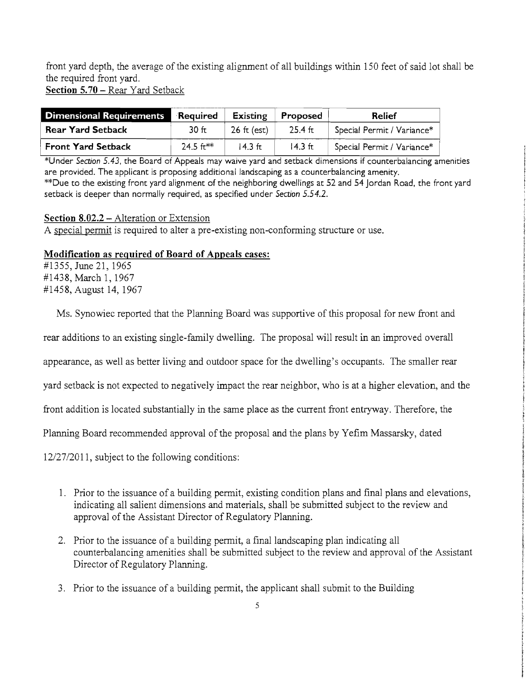front yard depth, the average of the existing alignment of all buildings within 150 feet of said lot shall be the required front yard. Section 5.70 - Rear Yard Setback

**Dimensional Requirements** Required Existing Proposed Relief **Rear Yard Setback** 30 ft  $\left| 26 \text{ ft (est)} \right|$  25.4 ft  $\left| 5 \text{pecial Permit} / \text{Variance}^* \right|$ Front Yard Setback 24.5 ft\*\*  $\vert$  14.3 ft  $\vert$  14.3 ft Special Permit / Variance\*

\*Under Section 5.43, the Board of Appeals may waive yard and setback dimensions if counterbalancing amenities are provided. The applicant is proposing additional landscaping as a counterbalancing amenity. \*\*Due to the existing front yard alignment of the neighboring dwellings at 52 and 54 Jordan Road, the front yard setback is deeper than normally required, as specified under Section 5.54.2.

## Section 8.02.2 – Alteration or Extension

A special permit is required to alter a pre-existing non-conforming structure or use.

#### Modification as required of Board of Appeals cases:

#1355, June 21, 1965 #1438, March 1, 1967 #1458, August 14, 1967

Ì.

Ms. Synowiec reported that the Planning Board was supportive of this proposal for new front and

rear additions to an existing single-family dwelling. The proposal will result in an improved overall

appearance, as well as better living and outdoor space for the dwelling's occupants. The smaller rear

yard setback is not expected to negatively impact the rear neighbor, who is at a higher elevation, and the

front addition is located substantially in the same place as the current front entryway. Therefore, the

Planning Board recommended approval of the proposal and the plans by Yefim Massarsky, dated

12/27/2011, subject to the following conditions:

- 1. Prior to the issuance of a building permit, existing condition plans and final plans and elevations, indicating all salient dimensions and materials, shall be submitted subject to the review and approval of the Assistant Director of Regulatory Planning.
- 2. Prior to the issuance of a building permit, a final landscaping plan indicating all counterbalancing amenities shall be submitted subject to the review and approval of the Assistant Director of Regulatory Planning.
- 3. Prior to the issuance of a building permit, the applicant shall submit to the Building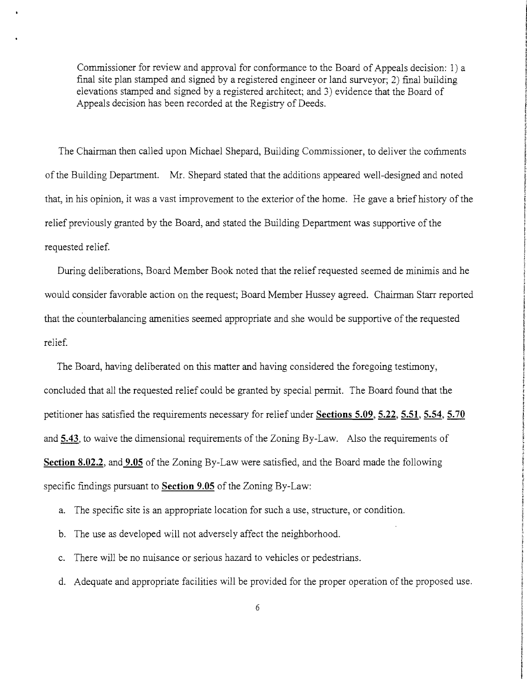Commissioner for review and approval for conformance to the Board of Appeals decision: 1) a final site plan stamped and signed by a registered engineer or land surveyor; 2) final building elevations stamped and signed by a registered architect; and 3) evidence that the Board of Appeals decision has been recorded at the Registry of Deeds.

The Chairman then called upon Michael Shepard, Building Commissioner, to deliver the comments ofthe Building Department. Mr. Shepard stated that the additions appeared well-designed and noted that, in his opinion, it was a vast improvement to the exterior of the home. He gave a brief history of the relief previously granted by the Board, and stated the Building Department was supportive of the requested relief.

During deliberations, Board Member Book noted that the relief requested seemed de minimis and he would consider favorable action on the request; Board Member Hussey agreed. Chairman Starr reported that the counterbalancing amenities seemed appropriate and she would be supportive of the requested relief.

The Board, having deliberated on this matter and having considered the foregoing testimony, concluded that all the requested relief could be granted by special permit. The Board found that the petitioner has satisfied the requirements necessary for relief under **Sections 5.09, 5.22, 5.51, 5.54, 5.70**  and **5.43,** to waive the dimensional requirements of the Zoning By-Law. Also the requirements of **Section 8.02.2, and 9.05** of the Zoning By-Law were satisfied, and the Board made the following specific findings pursuant to **Section 9.05** of the Zoning By-Law:

- a. The specific site is an appropriate location for such a use, structure, or condition.
- b. The use as developed will not adversely affect the neighborhood.
- c. There will be no nuisance or serious hazard to vehicles or pedestrians.
- d. Adequate and appropriate facilities will be provided for the proper operation of the proposed use.